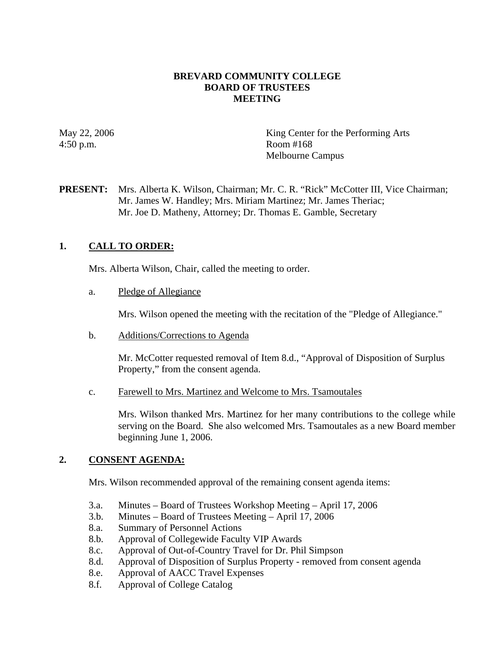## **BREVARD COMMUNITY COLLEGE BOARD OF TRUSTEES MEETING**

4:50 p.m. Room #168

May 22, 2006 King Center for the Performing Arts Melbourne Campus

**PRESENT:** Mrs. Alberta K. Wilson, Chairman; Mr. C. R. "Rick" McCotter III, Vice Chairman; Mr. James W. Handley; Mrs. Miriam Martinez; Mr. James Theriac; Mr. Joe D. Matheny, Attorney; Dr. Thomas E. Gamble, Secretary

# **1. CALL TO ORDER:**

Mrs. Alberta Wilson, Chair, called the meeting to order.

a. Pledge of Allegiance

Mrs. Wilson opened the meeting with the recitation of the "Pledge of Allegiance."

b. Additions/Corrections to Agenda

Mr. McCotter requested removal of Item 8.d., "Approval of Disposition of Surplus Property," from the consent agenda.

c. Farewell to Mrs. Martinez and Welcome to Mrs. Tsamoutales

Mrs. Wilson thanked Mrs. Martinez for her many contributions to the college while serving on the Board. She also welcomed Mrs. Tsamoutales as a new Board member beginning June 1, 2006.

# **2. CONSENT AGENDA:**

Mrs. Wilson recommended approval of the remaining consent agenda items:

- 3.a. Minutes Board of Trustees Workshop Meeting April 17, 2006
- 3.b. Minutes Board of Trustees Meeting April 17, 2006
- 8.a. Summary of Personnel Actions
- 8.b. Approval of Collegewide Faculty VIP Awards
- 8.c. Approval of Out-of-Country Travel for Dr. Phil Simpson
- 8.d. Approval of Disposition of Surplus Property removed from consent agenda
- 8.e. Approval of AACC Travel Expenses
- 8.f. Approval of College Catalog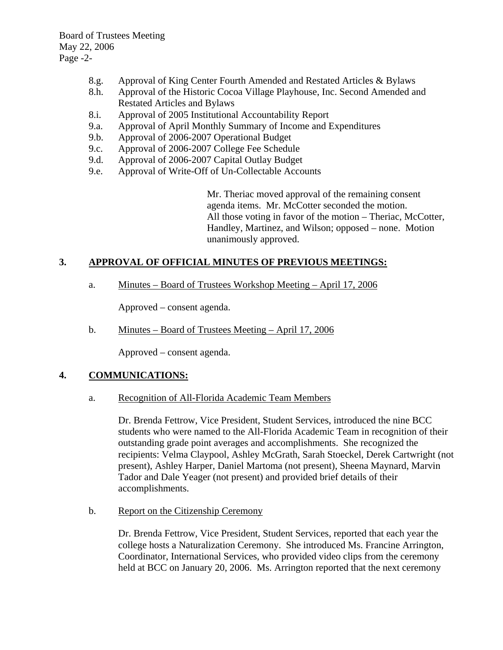Board of Trustees Meeting May 22, 2006 Page -2-

- 8.g. Approval of King Center Fourth Amended and Restated Articles & Bylaws
- 8.h. Approval of the Historic Cocoa Village Playhouse, Inc. Second Amended and Restated Articles and Bylaws
- 8.i. Approval of 2005 Institutional Accountability Report
- 9.a. Approval of April Monthly Summary of Income and Expenditures
- 9.b. Approval of 2006-2007 Operational Budget
- 9.c. Approval of 2006-2007 College Fee Schedule
- 9.d. Approval of 2006-2007 Capital Outlay Budget
- 9.e. Approval of Write-Off of Un-Collectable Accounts

Mr. Theriac moved approval of the remaining consent agenda items. Mr. McCotter seconded the motion. All those voting in favor of the motion – Theriac, McCotter, Handley, Martinez, and Wilson; opposed – none. Motion unanimously approved.

# **3. APPROVAL OF OFFICIAL MINUTES OF PREVIOUS MEETINGS:**

a. Minutes – Board of Trustees Workshop Meeting – April 17, 2006

Approved – consent agenda.

b. Minutes – Board of Trustees Meeting – April 17, 2006

Approved – consent agenda.

### **4. COMMUNICATIONS:**

### a. Recognition of All-Florida Academic Team Members

Dr. Brenda Fettrow, Vice President, Student Services, introduced the nine BCC students who were named to the All-Florida Academic Team in recognition of their outstanding grade point averages and accomplishments. She recognized the recipients: Velma Claypool, Ashley McGrath, Sarah Stoeckel, Derek Cartwright (not present), Ashley Harper, Daniel Martoma (not present), Sheena Maynard, Marvin Tador and Dale Yeager (not present) and provided brief details of their accomplishments.

b. Report on the Citizenship Ceremony

Dr. Brenda Fettrow, Vice President, Student Services, reported that each year the college hosts a Naturalization Ceremony. She introduced Ms. Francine Arrington, Coordinator, International Services, who provided video clips from the ceremony held at BCC on January 20, 2006. Ms. Arrington reported that the next ceremony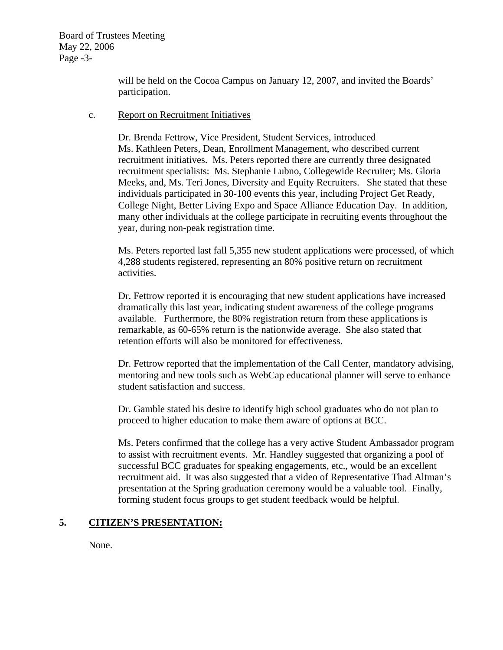Board of Trustees Meeting May 22, 2006 Page -3-

> will be held on the Cocoa Campus on January 12, 2007, and invited the Boards' participation.

#### c. Report on Recruitment Initiatives

Dr. Brenda Fettrow, Vice President, Student Services, introduced Ms. Kathleen Peters, Dean, Enrollment Management, who described current recruitment initiatives. Ms. Peters reported there are currently three designated recruitment specialists: Ms. Stephanie Lubno, Collegewide Recruiter; Ms. Gloria Meeks, and, Ms. Teri Jones, Diversity and Equity Recruiters. She stated that these individuals participated in 30-100 events this year, including Project Get Ready, College Night, Better Living Expo and Space Alliance Education Day. In addition, many other individuals at the college participate in recruiting events throughout the year, during non-peak registration time.

Ms. Peters reported last fall 5,355 new student applications were processed, of which 4,288 students registered, representing an 80% positive return on recruitment activities.

Dr. Fettrow reported it is encouraging that new student applications have increased dramatically this last year, indicating student awareness of the college programs available. Furthermore, the 80% registration return from these applications is remarkable, as 60-65% return is the nationwide average. She also stated that retention efforts will also be monitored for effectiveness.

Dr. Fettrow reported that the implementation of the Call Center, mandatory advising, mentoring and new tools such as WebCap educational planner will serve to enhance student satisfaction and success.

Dr. Gamble stated his desire to identify high school graduates who do not plan to proceed to higher education to make them aware of options at BCC.

Ms. Peters confirmed that the college has a very active Student Ambassador program to assist with recruitment events. Mr. Handley suggested that organizing a pool of successful BCC graduates for speaking engagements, etc., would be an excellent recruitment aid. It was also suggested that a video of Representative Thad Altman's presentation at the Spring graduation ceremony would be a valuable tool. Finally, forming student focus groups to get student feedback would be helpful.

# **5. CITIZEN'S PRESENTATION:**

None.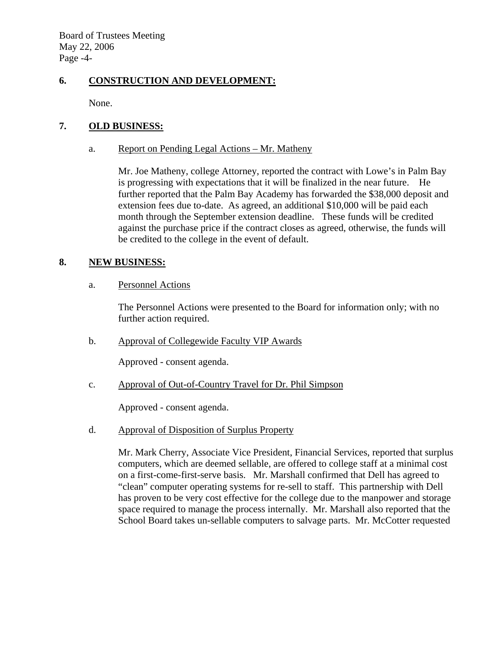Board of Trustees Meeting May 22, 2006 Page -4-

# **6. CONSTRUCTION AND DEVELOPMENT:**

None.

## **7. OLD BUSINESS:**

## a. Report on Pending Legal Actions – Mr. Matheny

Mr. Joe Matheny, college Attorney, reported the contract with Lowe's in Palm Bay is progressing with expectations that it will be finalized in the near future. He further reported that the Palm Bay Academy has forwarded the \$38,000 deposit and extension fees due to-date. As agreed, an additional \$10,000 will be paid each month through the September extension deadline. These funds will be credited against the purchase price if the contract closes as agreed, otherwise, the funds will be credited to the college in the event of default.

## **8. NEW BUSINESS:**

## a. Personnel Actions

The Personnel Actions were presented to the Board for information only; with no further action required.

b. Approval of Collegewide Faculty VIP Awards

Approved - consent agenda.

c. Approval of Out-of-Country Travel for Dr. Phil Simpson

Approved - consent agenda.

d. Approval of Disposition of Surplus Property

Mr. Mark Cherry, Associate Vice President, Financial Services, reported that surplus computers, which are deemed sellable, are offered to college staff at a minimal cost on a first-come-first-serve basis. Mr. Marshall confirmed that Dell has agreed to "clean" computer operating systems for re-sell to staff. This partnership with Dell has proven to be very cost effective for the college due to the manpower and storage space required to manage the process internally. Mr. Marshall also reported that the School Board takes un-sellable computers to salvage parts. Mr. McCotter requested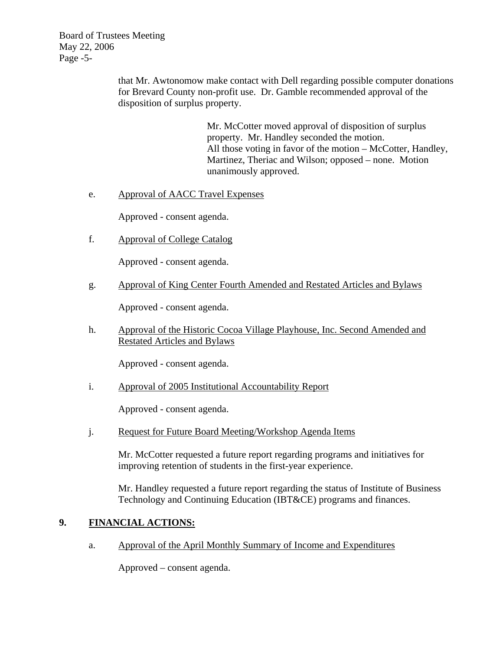Board of Trustees Meeting May 22, 2006 Page -5-

> that Mr. Awtonomow make contact with Dell regarding possible computer donations for Brevard County non-profit use. Dr. Gamble recommended approval of the disposition of surplus property.

> > Mr. McCotter moved approval of disposition of surplus property. Mr. Handley seconded the motion. All those voting in favor of the motion – McCotter, Handley, Martinez, Theriac and Wilson; opposed – none. Motion unanimously approved.

## e. Approval of AACC Travel Expenses

Approved - consent agenda.

f. Approval of College Catalog

Approved - consent agenda.

g. Approval of King Center Fourth Amended and Restated Articles and Bylaws

Approved - consent agenda.

h. Approval of the Historic Cocoa Village Playhouse, Inc. Second Amended and Restated Articles and Bylaws

Approved - consent agenda.

i. Approval of 2005 Institutional Accountability Report

Approved - consent agenda.

j. Request for Future Board Meeting/Workshop Agenda Items

Mr. McCotter requested a future report regarding programs and initiatives for improving retention of students in the first-year experience.

Mr. Handley requested a future report regarding the status of Institute of Business Technology and Continuing Education (IBT&CE) programs and finances.

### **9. FINANCIAL ACTIONS:**

a. Approval of the April Monthly Summary of Income and Expenditures

Approved – consent agenda.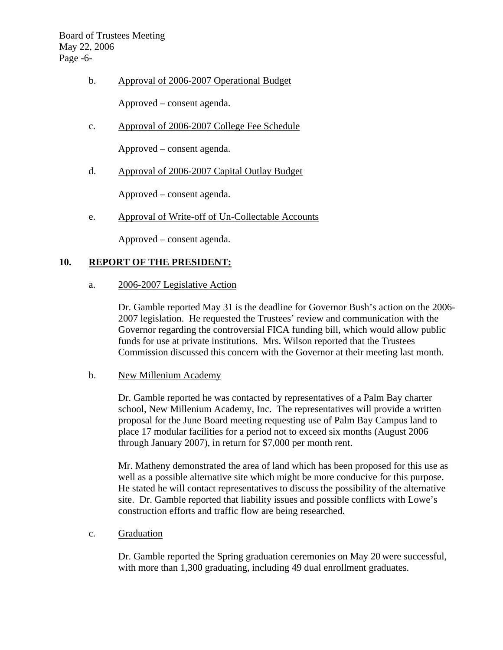Board of Trustees Meeting May 22, 2006 Page -6-

b. Approval of 2006-2007 Operational Budget

Approved – consent agenda.

c. Approval of 2006-2007 College Fee Schedule

Approved – consent agenda.

d. Approval of 2006-2007 Capital Outlay Budget

Approved – consent agenda.

e. Approval of Write-off of Un-Collectable Accounts

Approved – consent agenda.

### **10. REPORT OF THE PRESIDENT:**

a. 2006-2007 Legislative Action

Dr. Gamble reported May 31 is the deadline for Governor Bush's action on the 2006- 2007 legislation. He requested the Trustees' review and communication with the Governor regarding the controversial FICA funding bill, which would allow public funds for use at private institutions. Mrs. Wilson reported that the Trustees Commission discussed this concern with the Governor at their meeting last month.

b. New Millenium Academy

Dr. Gamble reported he was contacted by representatives of a Palm Bay charter school, New Millenium Academy, Inc. The representatives will provide a written proposal for the June Board meeting requesting use of Palm Bay Campus land to place 17 modular facilities for a period not to exceed six months (August 2006 through January 2007), in return for \$7,000 per month rent.

Mr. Matheny demonstrated the area of land which has been proposed for this use as well as a possible alternative site which might be more conducive for this purpose. He stated he will contact representatives to discuss the possibility of the alternative site. Dr. Gamble reported that liability issues and possible conflicts with Lowe's construction efforts and traffic flow are being researched.

c. Graduation

Dr. Gamble reported the Spring graduation ceremonies on May 20 were successful, with more than 1,300 graduating, including 49 dual enrollment graduates.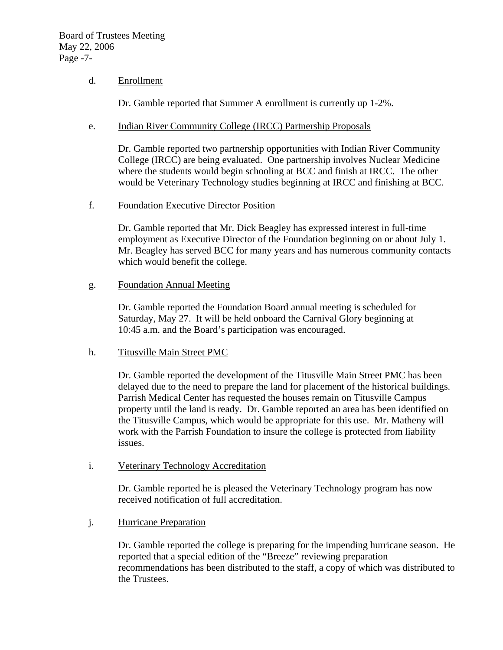## d. Enrollment

Dr. Gamble reported that Summer A enrollment is currently up 1-2%.

## e. Indian River Community College (IRCC) Partnership Proposals

Dr. Gamble reported two partnership opportunities with Indian River Community College (IRCC) are being evaluated. One partnership involves Nuclear Medicine where the students would begin schooling at BCC and finish at IRCC. The other would be Veterinary Technology studies beginning at IRCC and finishing at BCC.

f. Foundation Executive Director Position

Dr. Gamble reported that Mr. Dick Beagley has expressed interest in full-time employment as Executive Director of the Foundation beginning on or about July 1. Mr. Beagley has served BCC for many years and has numerous community contacts which would benefit the college.

## g. Foundation Annual Meeting

Dr. Gamble reported the Foundation Board annual meeting is scheduled for Saturday, May 27. It will be held onboard the Carnival Glory beginning at 10:45 a.m. and the Board's participation was encouraged.

### h. Titusville Main Street PMC

Dr. Gamble reported the development of the Titusville Main Street PMC has been delayed due to the need to prepare the land for placement of the historical buildings. Parrish Medical Center has requested the houses remain on Titusville Campus property until the land is ready. Dr. Gamble reported an area has been identified on the Titusville Campus, which would be appropriate for this use. Mr. Matheny will work with the Parrish Foundation to insure the college is protected from liability issues.

# i. Veterinary Technology Accreditation

Dr. Gamble reported he is pleased the Veterinary Technology program has now received notification of full accreditation.

# j. Hurricane Preparation

Dr. Gamble reported the college is preparing for the impending hurricane season. He reported that a special edition of the "Breeze" reviewing preparation recommendations has been distributed to the staff, a copy of which was distributed to the Trustees.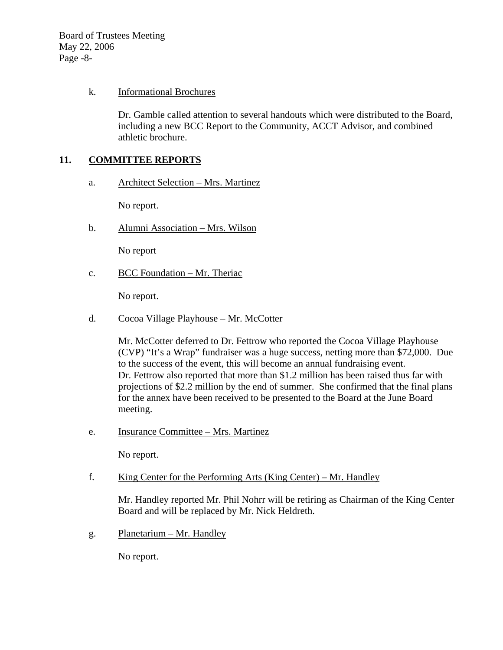Board of Trustees Meeting May 22, 2006 Page -8-

## k. Informational Brochures

Dr. Gamble called attention to several handouts which were distributed to the Board, including a new BCC Report to the Community, ACCT Advisor, and combined athletic brochure.

## **11. COMMITTEE REPORTS**

a. Architect Selection – Mrs. Martinez

No report.

b. Alumni Association – Mrs. Wilson

No report

c. BCC Foundation – Mr. Theriac

No report.

d. Cocoa Village Playhouse – Mr. McCotter

Mr. McCotter deferred to Dr. Fettrow who reported the Cocoa Village Playhouse (CVP) "It's a Wrap" fundraiser was a huge success, netting more than \$72,000. Due to the success of the event, this will become an annual fundraising event. Dr. Fettrow also reported that more than \$1.2 million has been raised thus far with projections of \$2.2 million by the end of summer. She confirmed that the final plans for the annex have been received to be presented to the Board at the June Board meeting.

e. Insurance Committee – Mrs. Martinez

No report.

f. King Center for the Performing Arts (King Center) – Mr. Handley

Mr. Handley reported Mr. Phil Nohrr will be retiring as Chairman of the King Center Board and will be replaced by Mr. Nick Heldreth.

g. Planetarium – Mr. Handley

No report.